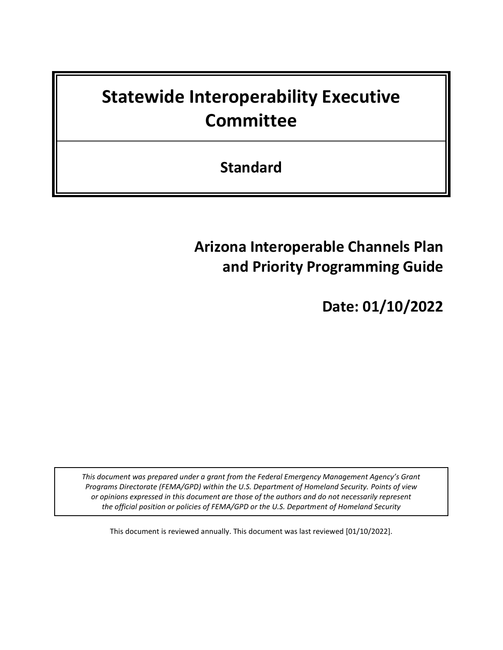# **Statewide Interoperability Executive Committee**

**Standard**

# **Arizona Interoperable Channels Plan and Priority Programming Guide**

**Date: 01/10/2022**

*This document was prepared under a grant from the Federal Emergency Management Agency's Grant Programs Directorate (FEMA/GPD) within the U.S. Department of Homeland Security. Points of view or opinions expressed in this document are those of the authors and do not necessarily represent the official position or policies of FEMA/GPD or the U.S. Department of Homeland Security*

This document is reviewed annually. This document was last reviewed [01/10/2022].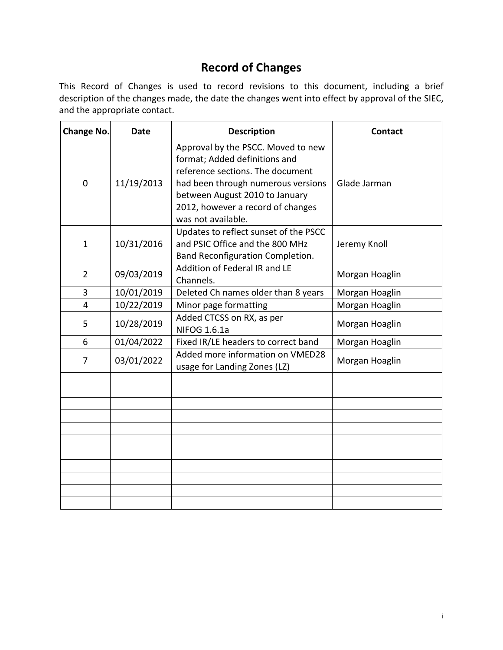# **Record of Changes**

This Record of Changes is used to record revisions to this document, including a brief description of the changes made, the date the changes went into effect by approval of the SIEC, and the appropriate contact.

| <b>Change No.</b>          | Date       | <b>Description</b>                                                                                                                                                                                                                         | <b>Contact</b> |
|----------------------------|------------|--------------------------------------------------------------------------------------------------------------------------------------------------------------------------------------------------------------------------------------------|----------------|
| $\Omega$                   | 11/19/2013 | Approval by the PSCC. Moved to new<br>format; Added definitions and<br>reference sections. The document<br>had been through numerous versions<br>between August 2010 to January<br>2012, however a record of changes<br>was not available. | Glade Jarman   |
| 10/31/2016<br>$\mathbf{1}$ |            | Updates to reflect sunset of the PSCC<br>and PSIC Office and the 800 MHz<br>Band Reconfiguration Completion.                                                                                                                               | Jeremy Knoll   |
| $\overline{2}$             | 09/03/2019 | Addition of Federal IR and LE<br>Channels.                                                                                                                                                                                                 | Morgan Hoaglin |
| 3                          | 10/01/2019 | Deleted Ch names older than 8 years                                                                                                                                                                                                        | Morgan Hoaglin |
| 4                          | 10/22/2019 | Minor page formatting                                                                                                                                                                                                                      | Morgan Hoaglin |
| 5                          | 10/28/2019 | Added CTCSS on RX, as per<br><b>NIFOG 1.6.1a</b>                                                                                                                                                                                           | Morgan Hoaglin |
| 6                          | 01/04/2022 | Fixed IR/LE headers to correct band                                                                                                                                                                                                        | Morgan Hoaglin |
| 7                          | 03/01/2022 | Added more information on VMED28<br>usage for Landing Zones (LZ)                                                                                                                                                                           | Morgan Hoaglin |
|                            |            |                                                                                                                                                                                                                                            |                |
|                            |            |                                                                                                                                                                                                                                            |                |
|                            |            |                                                                                                                                                                                                                                            |                |
|                            |            |                                                                                                                                                                                                                                            |                |
|                            |            |                                                                                                                                                                                                                                            |                |
|                            |            |                                                                                                                                                                                                                                            |                |
|                            |            |                                                                                                                                                                                                                                            |                |
|                            |            |                                                                                                                                                                                                                                            |                |
|                            |            |                                                                                                                                                                                                                                            |                |
|                            |            |                                                                                                                                                                                                                                            |                |
|                            |            |                                                                                                                                                                                                                                            |                |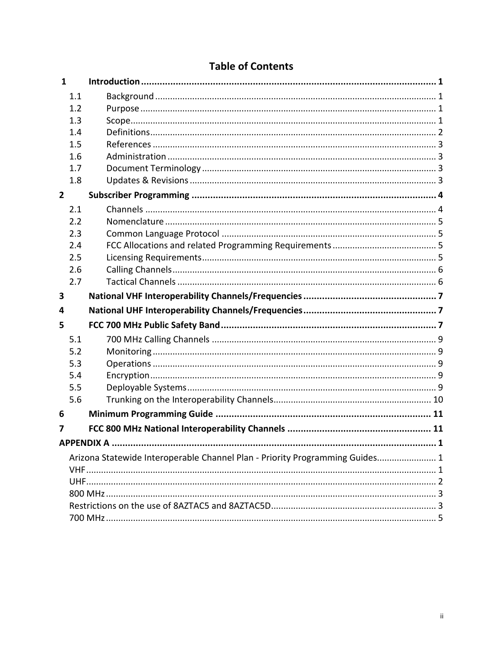|  |  | <b>Table of Contents</b> |  |
|--|--|--------------------------|--|
|--|--|--------------------------|--|

| $\mathbf{1}$   |                    |                                                                              |
|----------------|--------------------|------------------------------------------------------------------------------|
| 1.1            |                    |                                                                              |
| 1.2            |                    |                                                                              |
| 1.3            |                    |                                                                              |
| 1.4            |                    |                                                                              |
| 1.5            |                    |                                                                              |
| 1.6            |                    |                                                                              |
| 1.7            |                    |                                                                              |
| 1.8            |                    |                                                                              |
| $\overline{2}$ |                    |                                                                              |
| 2.1            |                    |                                                                              |
| 2.2            |                    |                                                                              |
| 2.3            |                    |                                                                              |
| 2.4            |                    |                                                                              |
| 2.5            |                    |                                                                              |
| 2.6            |                    |                                                                              |
| 2.7            |                    |                                                                              |
|                |                    |                                                                              |
| 3              |                    |                                                                              |
| 4              |                    |                                                                              |
| 5              |                    |                                                                              |
| 5.1            |                    |                                                                              |
| 5.2            |                    |                                                                              |
| 5.3            |                    |                                                                              |
| 5.4            |                    |                                                                              |
| 5.5            |                    |                                                                              |
| 5.6            |                    |                                                                              |
| 6              |                    |                                                                              |
| 7              |                    |                                                                              |
|                | <b>APPENDIX A.</b> | $\cdot$ 1                                                                    |
|                |                    |                                                                              |
|                |                    | Arizona Statewide Interoperable Channel Plan - Priority Programming Guides 1 |
|                |                    |                                                                              |
|                |                    |                                                                              |
|                |                    |                                                                              |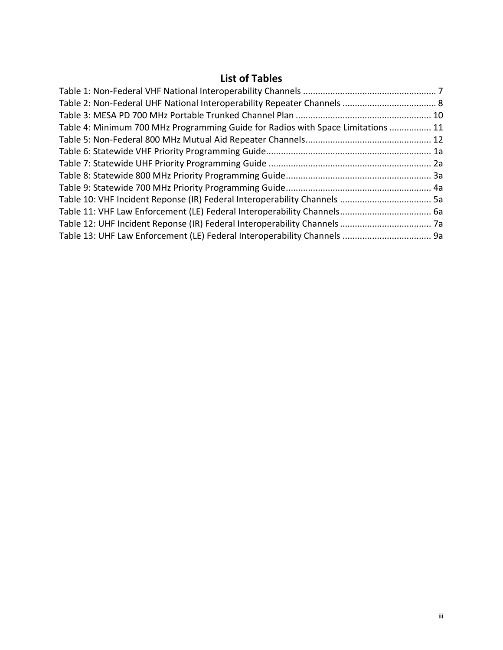# **List of Tables**

| Table 4: Minimum 700 MHz Programming Guide for Radios with Space Limitations  11 |  |
|----------------------------------------------------------------------------------|--|
|                                                                                  |  |
|                                                                                  |  |
|                                                                                  |  |
|                                                                                  |  |
|                                                                                  |  |
|                                                                                  |  |
|                                                                                  |  |
|                                                                                  |  |
|                                                                                  |  |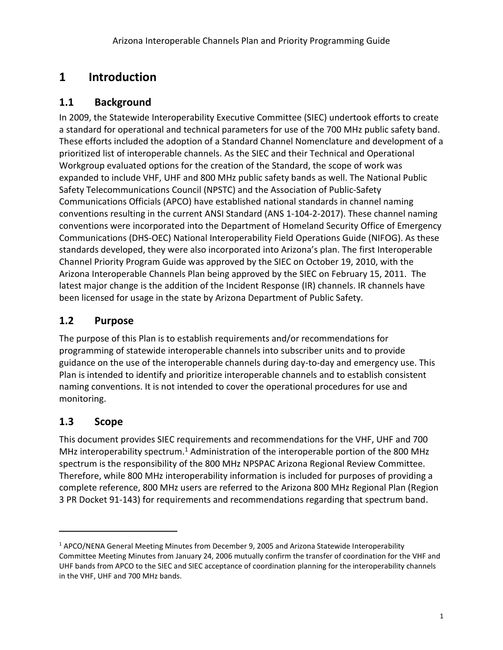# <span id="page-4-0"></span>**1 Introduction**

#### <span id="page-4-1"></span>**1.1 Background**

In 2009, the Statewide Interoperability Executive Committee (SIEC) undertook efforts to create a standard for operational and technical parameters for use of the 700 MHz public safety band. These efforts included the adoption of a Standard Channel Nomenclature and development of a prioritized list of interoperable channels. As the SIEC and their Technical and Operational Workgroup evaluated options for the creation of the Standard, the scope of work was expanded to include VHF, UHF and 800 MHz public safety bands as well. The National Public Safety Telecommunications Council (NPSTC) and the Association of Public-Safety Communications Officials (APCO) have established national standards in channel naming conventions resulting in the current ANSI Standard (ANS 1-104-2-2017). These channel naming conventions were incorporated into the Department of Homeland Security Office of Emergency Communications (DHS-OEC) National Interoperability Field Operations Guide (NIFOG). As these standards developed, they were also incorporated into Arizona's plan. The first Interoperable Channel Priority Program Guide was approved by the SIEC on October 19, 2010, with the Arizona Interoperable Channels Plan being approved by the SIEC on February 15, 2011. The latest major change is the addition of the Incident Response (IR) channels. IR channels have been licensed for usage in the state by Arizona Department of Public Safety.

#### <span id="page-4-2"></span>**1.2 Purpose**

The purpose of this Plan is to establish requirements and/or recommendations for programming of statewide interoperable channels into subscriber units and to provide guidance on the use of the interoperable channels during day-to-day and emergency use. This Plan is intended to identify and prioritize interoperable channels and to establish consistent naming conventions. It is not intended to cover the operational procedures for use and monitoring.

## <span id="page-4-3"></span>**1.3 Scope**

This document provides SIEC requirements and recommendations for the VHF, UHF and 700 MHz interoperability spectrum.<sup>1</sup> Administration of the interoperable portion of the 800 MHz spectrum is the responsibility of the 800 MHz NPSPAC Arizona Regional Review Committee. Therefore, while 800 MHz interoperability information is included for purposes of providing a complete reference, 800 MHz users are referred to the Arizona 800 MHz Regional Plan (Region 3 PR Docket 91-143) for requirements and recommendations regarding that spectrum band.

<sup>1</sup> APCO/NENA General Meeting Minutes from December 9, 2005 and Arizona Statewide Interoperability Committee Meeting Minutes from January 24, 2006 mutually confirm the transfer of coordination for the VHF and UHF bands from APCO to the SIEC and SIEC acceptance of coordination planning for the interoperability channels in the VHF, UHF and 700 MHz bands.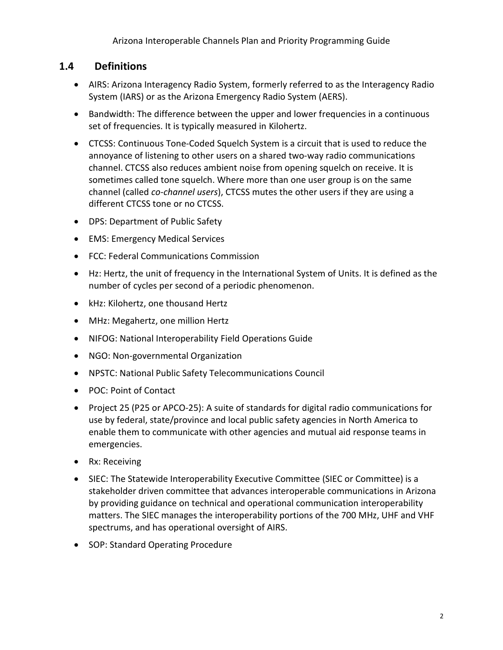## <span id="page-5-0"></span>**1.4 Definitions**

- AIRS: Arizona Interagency Radio System, formerly referred to as the Interagency Radio System (IARS) or as the Arizona Emergency Radio System (AERS).
- Bandwidth: The difference between the upper and lower frequencies in a continuous set of frequencies. It is typically measured in Kilohertz.
- CTCSS: Continuous Tone-Coded Squelch System is a circuit that is used to reduce the annoyance of listening to other users on a shared two-way radio communications channel. CTCSS also reduces ambient noise from opening squelch on receive. It is sometimes called tone squelch. Where more than one user group is on the same channel (called *co-channel users*), CTCSS mutes the other users if they are using a different CTCSS tone or no CTCSS.
- DPS: Department of Public Safety
- EMS: Emergency Medical Services
- FCC: Federal Communications Commission
- Hz: Hertz, the unit of frequency in the International System of Units. It is defined as the number of cycles per second of a periodic phenomenon.
- kHz: Kilohertz, one thousand Hertz
- MHz: Megahertz, one million Hertz
- NIFOG: National Interoperability Field Operations Guide
- NGO: Non-governmental Organization
- NPSTC: National Public Safety Telecommunications Council
- POC: Point of Contact
- Project 25 (P25 or APCO-25): A suite of standards for digital radio communications for use by federal, state/province and local public safety agencies in North America to enable them to communicate with other agencies and mutual aid response teams in emergencies.
- Rx: Receiving
- SIEC: The Statewide Interoperability Executive Committee (SIEC or Committee) is a stakeholder driven committee that advances interoperable communications in Arizona by providing guidance on technical and operational communication interoperability matters. The SIEC manages the interoperability portions of the 700 MHz, UHF and VHF spectrums, and has operational oversight of AIRS.
- SOP: Standard Operating Procedure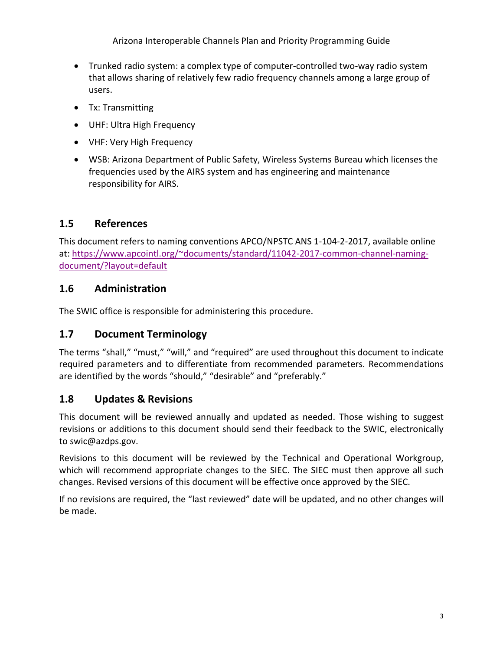Arizona Interoperable Channels Plan and Priority Programming Guide

- Trunked radio system: a complex type of computer-controlled two-way radio system that allows sharing of relatively few radio frequency channels among a large group of users.
- Tx: Transmitting
- UHF: Ultra High Frequency
- VHF: Very High Frequency
- WSB: Arizona Department of Public Safety, Wireless Systems Bureau which licenses the frequencies used by the AIRS system and has engineering and maintenance responsibility for AIRS.

## <span id="page-6-0"></span>**1.5 References**

This document refers to naming conventions APCO/NPSTC ANS 1-104-2-2017, available online at: [https://www.apcointl.org/~documents/standard/11042-2017-common-channel-naming](https://www.apcointl.org/~documents/standard/11042-2017-common-channel-naming-document/?layout=default)[document/?layout=default](https://www.apcointl.org/~documents/standard/11042-2017-common-channel-naming-document/?layout=default)

## <span id="page-6-1"></span>**1.6 Administration**

The SWIC office is responsible for administering this procedure.

## <span id="page-6-2"></span>**1.7 Document Terminology**

The terms "shall," "must," "will," and "required" are used throughout this document to indicate required parameters and to differentiate from recommended parameters. Recommendations are identified by the words "should," "desirable" and "preferably."

## <span id="page-6-3"></span>**1.8 Updates & Revisions**

This document will be reviewed annually and updated as needed. Those wishing to suggest revisions or additions to this document should send their feedback to the SWIC, electronically to swic@azdps.gov.

Revisions to this document will be reviewed by the Technical and Operational Workgroup, which will recommend appropriate changes to the SIEC. The SIEC must then approve all such changes. Revised versions of this document will be effective once approved by the SIEC.

If no revisions are required, the "last reviewed" date will be updated, and no other changes will be made.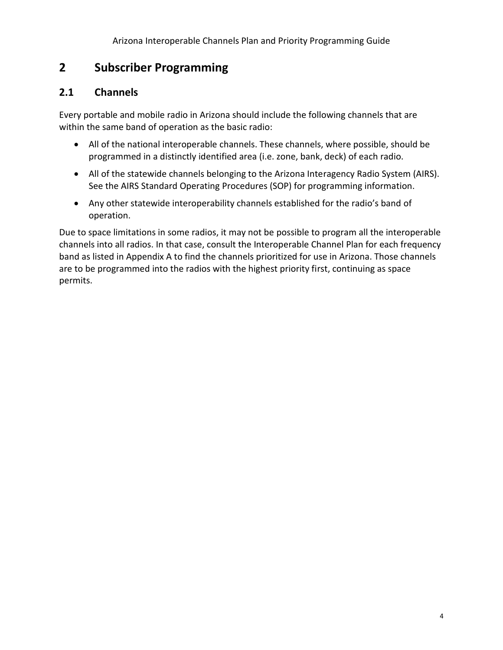# **2 Subscriber Programming**

#### <span id="page-7-0"></span>**2.1 Channels**

Every portable and mobile radio in Arizona should include the following channels that are within the same band of operation as the basic radio:

- All of the national interoperable channels. These channels, where possible, should be programmed in a distinctly identified area (i.e. zone, bank, deck) of each radio.
- All of the statewide channels belonging to the Arizona Interagency Radio System (AIRS). See the AIRS Standard Operating Procedures (SOP) for programming information.
- Any other statewide interoperability channels established for the radio's band of operation.

Due to space limitations in some radios, it may not be possible to program all the interoperable channels into all radios. In that case, consult the Interoperable Channel Plan for each frequency band as listed in Appendix A to find the channels prioritized for use in Arizona. Those channels are to be programmed into the radios with the highest priority first, continuing as space permits.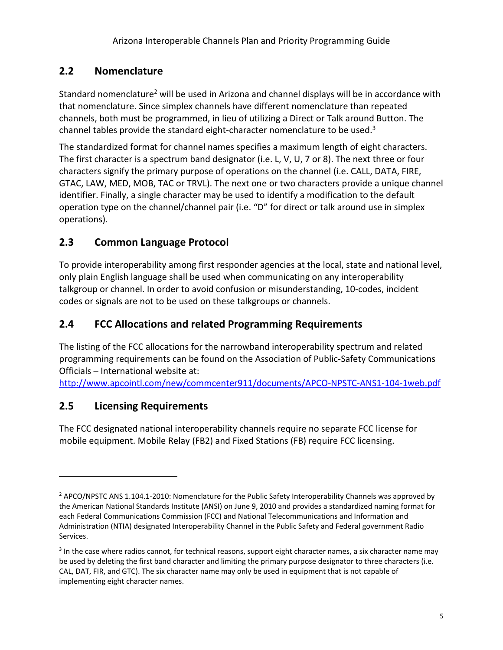## <span id="page-8-0"></span>**2.2 Nomenclature**

Standard nomenclature<sup>2</sup> will be used in Arizona and channel displays will be in accordance with that nomenclature. Since simplex channels have different nomenclature than repeated channels, both must be programmed, in lieu of utilizing a Direct or Talk around Button. The channel tables provide the standard eight-character nomenclature to be used.<sup>3</sup>

The standardized format for channel names specifies a maximum length of eight characters. The first character is a spectrum band designator (i.e. L, V, U, 7 or 8). The next three or four characters signify the primary purpose of operations on the channel (i.e. CALL, DATA, FIRE, GTAC, LAW, MED, MOB, TAC or TRVL). The next one or two characters provide a unique channel identifier. Finally, a single character may be used to identify a modification to the default operation type on the channel/channel pair (i.e. "D" for direct or talk around use in simplex operations).

## <span id="page-8-1"></span>**2.3 Common Language Protocol**

To provide interoperability among first responder agencies at the local, state and national level, only plain English language shall be used when communicating on any interoperability talkgroup or channel. In order to avoid confusion or misunderstanding, 10-codes, incident codes or signals are not to be used on these talkgroups or channels.

## <span id="page-8-2"></span>**2.4 FCC Allocations and related Programming Requirements**

The listing of the FCC allocations for the narrowband interoperability spectrum and related programming requirements can be found on the Association of Public-Safety Communications Officials – International website at:

<http://www.apcointl.com/new/commcenter911/documents/APCO-NPSTC-ANS1-104-1web.pdf>

## <span id="page-8-3"></span>**2.5 Licensing Requirements**

The FCC designated national interoperability channels require no separate FCC license for mobile equipment. Mobile Relay (FB2) and Fixed Stations (FB) require FCC licensing.

<sup>&</sup>lt;sup>2</sup> APCO/NPSTC ANS 1.104.1-2010: Nomenclature for the Public Safety Interoperability Channels was approved by the American National Standards Institute (ANSI) on June 9, 2010 and provides a standardized naming format for each Federal Communications Commission (FCC) and National Telecommunications and Information and Administration (NTIA) designated Interoperability Channel in the Public Safety and Federal government Radio Services.

 $3$  In the case where radios cannot, for technical reasons, support eight character names, a six character name may be used by deleting the first band character and limiting the primary purpose designator to three characters (i.e. CAL, DAT, FIR, and GTC). The six character name may only be used in equipment that is not capable of implementing eight character names.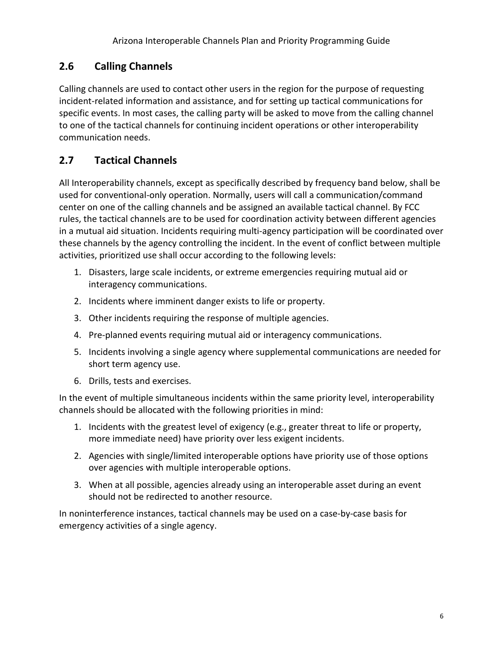## <span id="page-9-0"></span>**2.6 Calling Channels**

Calling channels are used to contact other users in the region for the purpose of requesting incident-related information and assistance, and for setting up tactical communications for specific events. In most cases, the calling party will be asked to move from the calling channel to one of the tactical channels for continuing incident operations or other interoperability communication needs.

#### <span id="page-9-1"></span>**2.7 Tactical Channels**

All Interoperability channels, except as specifically described by frequency band below, shall be used for conventional-only operation. Normally, users will call a communication/command center on one of the calling channels and be assigned an available tactical channel. By FCC rules, the tactical channels are to be used for coordination activity between different agencies in a mutual aid situation. Incidents requiring multi-agency participation will be coordinated over these channels by the agency controlling the incident. In the event of conflict between multiple activities, prioritized use shall occur according to the following levels:

- 1. Disasters, large scale incidents, or extreme emergencies requiring mutual aid or interagency communications.
- 2. Incidents where imminent danger exists to life or property.
- 3. Other incidents requiring the response of multiple agencies.
- 4. Pre-planned events requiring mutual aid or interagency communications.
- 5. Incidents involving a single agency where supplemental communications are needed for short term agency use.
- 6. Drills, tests and exercises.

In the event of multiple simultaneous incidents within the same priority level, interoperability channels should be allocated with the following priorities in mind:

- 1. Incidents with the greatest level of exigency (e.g., greater threat to life or property, more immediate need) have priority over less exigent incidents.
- 2. Agencies with single/limited interoperable options have priority use of those options over agencies with multiple interoperable options.
- 3. When at all possible, agencies already using an interoperable asset during an event should not be redirected to another resource.

In noninterference instances, tactical channels may be used on a case-by-case basis for emergency activities of a single agency.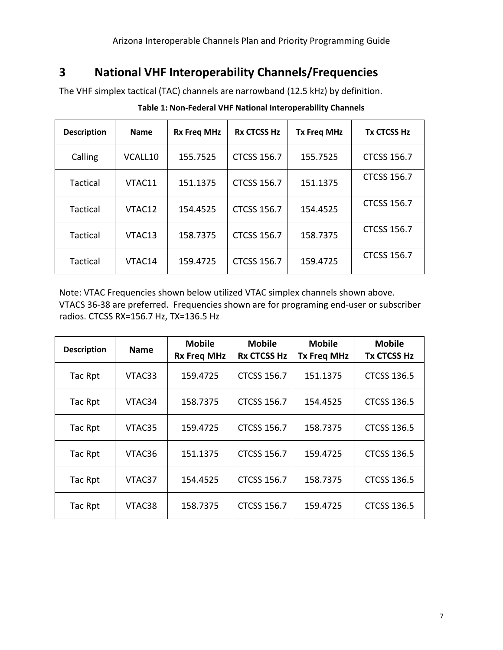## <span id="page-10-0"></span>**3 National VHF Interoperability Channels/Frequencies**

<span id="page-10-1"></span>The VHF simplex tactical (TAC) channels are narrowband (12.5 kHz) by definition.

| <b>Description</b> | <b>Name</b> | <b>Rx Freg MHz</b> | <b>Rx CTCSS Hz</b> | <b>Tx Freg MHz</b> | <b>Tx CTCSS Hz</b> |
|--------------------|-------------|--------------------|--------------------|--------------------|--------------------|
| Calling            | VCALL10     | 155.7525           | <b>CTCSS 156.7</b> | 155.7525           | <b>CTCSS 156.7</b> |
| Tactical           | VTAC11      | 151.1375           | <b>CTCSS 156.7</b> | 151.1375           | <b>CTCSS 156.7</b> |
| Tactical           | VTAC12      | 154.4525           | <b>CTCSS 156.7</b> | 154.4525           | <b>CTCSS 156.7</b> |
| Tactical           | VTAC13      | 158.7375           | <b>CTCSS 156.7</b> | 158.7375           | <b>CTCSS 156.7</b> |
| <b>Tactical</b>    | VTAC14      | 159.4725           | <b>CTCSS 156.7</b> | 159.4725           | <b>CTCSS 156.7</b> |

**Table 1: Non-Federal VHF National Interoperability Channels**

Note: VTAC Frequencies shown below utilized VTAC simplex channels shown above. VTACS 36-38 are preferred. Frequencies shown are for programing end-user or subscriber radios. CTCSS RX=156.7 Hz, TX=136.5 Hz

| <b>Description</b> | <b>Name</b> | <b>Mobile</b><br><b>Rx Freq MHz</b> | <b>Mobile</b><br><b>Rx CTCSS Hz</b> | <b>Mobile</b><br><b>Tx Freg MHz</b> | <b>Mobile</b><br><b>Tx CTCSS Hz</b> |
|--------------------|-------------|-------------------------------------|-------------------------------------|-------------------------------------|-------------------------------------|
| Tac Rpt            | VTAC33      | 159.4725                            | <b>CTCSS 156.7</b>                  | 151.1375                            | <b>CTCSS 136.5</b>                  |
| Tac Rpt            | VTAC34      | 158.7375                            | <b>CTCSS 156.7</b>                  | 154.4525                            | <b>CTCSS 136.5</b>                  |
| Tac Rpt            | VTAC35      | 159.4725                            | <b>CTCSS 156.7</b>                  | 158.7375                            | <b>CTCSS 136.5</b>                  |
| Tac Rpt            | VTAC36      | 151.1375                            | <b>CTCSS 156.7</b>                  | 159.4725                            | <b>CTCSS 136.5</b>                  |
| Tac Rpt            | VTAC37      | 154.4525                            | <b>CTCSS 156.7</b>                  | 158.7375                            | <b>CTCSS 136.5</b>                  |
| Tac Rpt            | VTAC38      | 158.7375                            | <b>CTCSS 156.7</b>                  | 159.4725                            | <b>CTCSS 136.5</b>                  |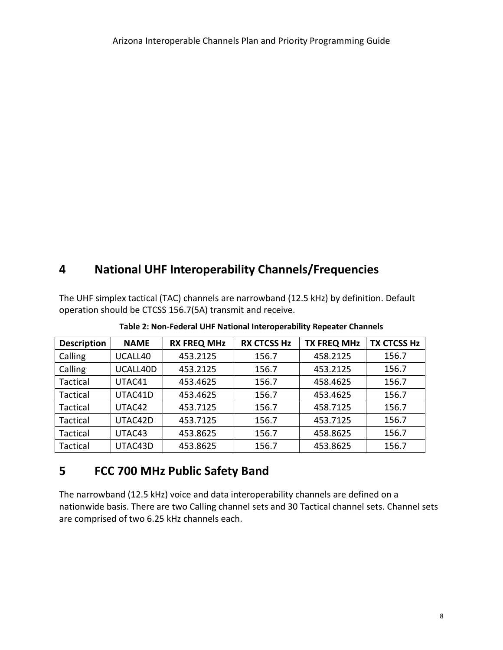## **4 National UHF Interoperability Channels/Frequencies**

The UHF simplex tactical (TAC) channels are narrowband (12.5 kHz) by definition. Default operation should be CTCSS 156.7(5A) transmit and receive.

<span id="page-11-0"></span>

| <b>Description</b> | <b>NAME</b> | <b>RX FREQ MHz</b> | <b>RX CTCSS Hz</b> | <b>TX FREQ MHz</b> | <b>TX CTCSS Hz</b> |
|--------------------|-------------|--------------------|--------------------|--------------------|--------------------|
| Calling            | UCALL40     | 453.2125           | 156.7              | 458.2125           | 156.7              |
| Calling            | UCALL40D    | 453.2125           | 156.7              | 453.2125           | 156.7              |
| Tactical           | UTAC41      | 453.4625           | 156.7              | 458.4625           | 156.7              |
| Tactical           | UTAC41D     | 453.4625           | 156.7              | 453.4625           | 156.7              |
| Tactical           | UTAC42      | 453.7125           | 156.7              | 458.7125           | 156.7              |
| <b>Tactical</b>    | UTAC42D     | 453.7125           | 156.7              | 453.7125           | 156.7              |
| <b>Tactical</b>    | UTAC43      | 453.8625           | 156.7              | 458.8625           | 156.7              |
| <b>Tactical</b>    | UTAC43D     | 453.8625           | 156.7              | 453.8625           | 156.7              |

**Table 2: Non-Federal UHF National Interoperability Repeater Channels**

## **5 FCC 700 MHz Public Safety Band**

The narrowband (12.5 kHz) voice and data interoperability channels are defined on a nationwide basis. There are two Calling channel sets and 30 Tactical channel sets. Channel sets are comprised of two 6.25 kHz channels each.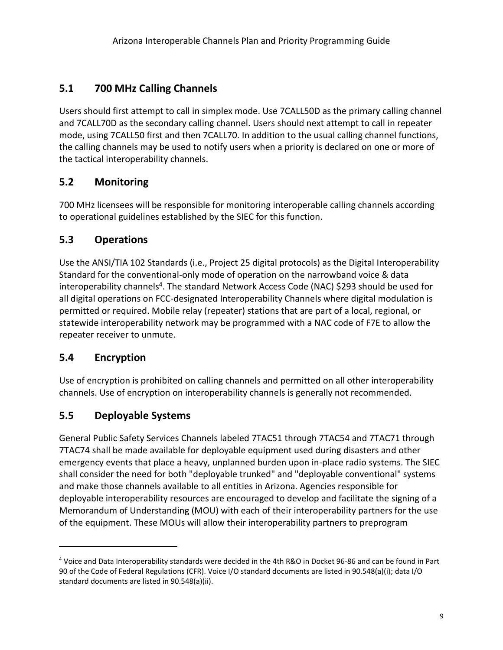## <span id="page-12-0"></span>**5.1 700 MHz Calling Channels**

Users should first attempt to call in simplex mode. Use 7CALL50D as the primary calling channel and 7CALL70D as the secondary calling channel. Users should next attempt to call in repeater mode, using 7CALL50 first and then 7CALL70. In addition to the usual calling channel functions, the calling channels may be used to notify users when a priority is declared on one or more of the tactical interoperability channels.

## <span id="page-12-1"></span>**5.2 Monitoring**

700 MHz licensees will be responsible for monitoring interoperable calling channels according to operational guidelines established by the SIEC for this function.

#### <span id="page-12-2"></span>**5.3 Operations**

Use the ANSI/TIA 102 Standards (i.e., Project 25 digital protocols) as the Digital Interoperability Standard for the conventional-only mode of operation on the narrowband voice & data interoperability channels<sup>4</sup>. The standard Network Access Code (NAC) \$293 should be used for all digital operations on FCC-designated Interoperability Channels where digital modulation is permitted or required. Mobile relay (repeater) stations that are part of a local, regional, or statewide interoperability network may be programmed with a NAC code of F7E to allow the repeater receiver to unmute.

## <span id="page-12-3"></span>**5.4 Encryption**

Use of encryption is prohibited on calling channels and permitted on all other interoperability channels. Use of encryption on interoperability channels is generally not recommended.

## <span id="page-12-4"></span>**5.5 Deployable Systems**

General Public Safety Services Channels labeled 7TAC51 through 7TAC54 and 7TAC71 through 7TAC74 shall be made available for deployable equipment used during disasters and other emergency events that place a heavy, unplanned burden upon in-place radio systems. The SIEC shall consider the need for both "deployable trunked" and "deployable conventional" systems and make those channels available to all entities in Arizona. Agencies responsible for deployable interoperability resources are encouraged to develop and facilitate the signing of a Memorandum of Understanding (MOU) with each of their interoperability partners for the use of the equipment. These MOUs will allow their interoperability partners to preprogram

<sup>4</sup> Voice and Data Interoperability standards were decided in the 4th R&O in Docket 96-86 and can be found in Part 90 of the Code of Federal Regulations (CFR). Voice I/O standard documents are listed in 90.548(a)(i); data I/O standard documents are listed in 90.548(a)(ii).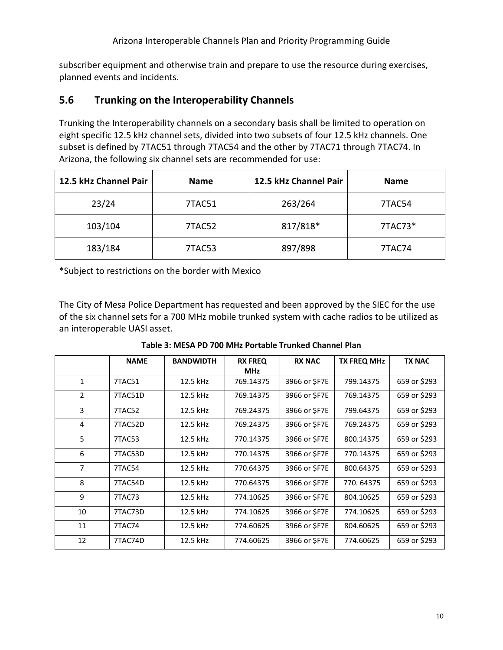Arizona Interoperable Channels Plan and Priority Programming Guide

subscriber equipment and otherwise train and prepare to use the resource during exercises, planned events and incidents.

#### <span id="page-13-0"></span>**5.6 Trunking on the Interoperability Channels**

Trunking the Interoperability channels on a secondary basis shall be limited to operation on eight specific 12.5 kHz channel sets, divided into two subsets of four 12.5 kHz channels. One subset is defined by 7TAC51 through 7TAC54 and the other by 7TAC71 through 7TAC74. In Arizona, the following six channel sets are recommended for use:

| 12.5 kHz Channel Pair | <b>Name</b> | 12.5 kHz Channel Pair | <b>Name</b> |
|-----------------------|-------------|-----------------------|-------------|
| 23/24                 | 7TAC51      | 263/264               | 7TAC54      |
| 103/104               | 7TAC52      | 817/818*              | 7TAC73*     |
| 183/184               | 7TAC53      | 897/898               | 7TAC74      |

\*Subject to restrictions on the border with Mexico

The City of Mesa Police Department has requested and been approved by the SIEC for the use of the six channel sets for a 700 MHz mobile trunked system with cache radios to be utilized as an interoperable UASI asset.

**Table 3: MESA PD 700 MHz Portable Trunked Channel Plan**

<span id="page-13-1"></span>

|              | <b>NAME</b> | <b>BANDWIDTH</b> | <b>RX FREQ</b><br><b>MHz</b> | <b>RX NAC</b> | <b>TX FREQ MHz</b> | <b>TX NAC</b> |
|--------------|-------------|------------------|------------------------------|---------------|--------------------|---------------|
| $\mathbf{1}$ | 7TAC51      | 12.5 kHz         | 769.14375                    | 3966 or \$F7E | 799.14375          | 659 or \$293  |
| 2            | 7TAC51D     | 12.5 kHz         | 769.14375                    | 3966 or \$F7E | 769.14375          | 659 or \$293  |
| 3            | 7TAC52      | 12.5 kHz         | 769.24375                    | 3966 or \$F7E | 799.64375          | 659 or \$293  |
| 4            | 7TAC52D     | 12.5 kHz         | 769.24375                    | 3966 or \$F7E | 769.24375          | 659 or \$293  |
| 5            | 7TAC53      | 12.5 kHz         | 770.14375                    | 3966 or \$F7E | 800.14375          | 659 or \$293  |
| 6            | 7TAC53D     | 12.5 kHz         | 770.14375                    | 3966 or \$F7E | 770.14375          | 659 or \$293  |
| 7            | 7TAC54      | 12.5 kHz         | 770.64375                    | 3966 or \$F7E | 800.64375          | 659 or \$293  |
| 8            | 7TAC54D     | 12.5 kHz         | 770.64375                    | 3966 or \$F7E | 770.64375          | 659 or \$293  |
| 9            | 7TAC73      | 12.5 kHz         | 774.10625                    | 3966 or \$F7E | 804.10625          | 659 or \$293  |
| 10           | 7TAC73D     | 12.5 kHz         | 774.10625                    | 3966 or \$F7E | 774.10625          | 659 or \$293  |
| 11           | 7TAC74      | 12.5 kHz         | 774.60625                    | 3966 or \$F7E | 804.60625          | 659 or \$293  |
| 12           | 7TAC74D     | 12.5 kHz         | 774.60625                    | 3966 or \$F7E | 774.60625          | 659 or \$293  |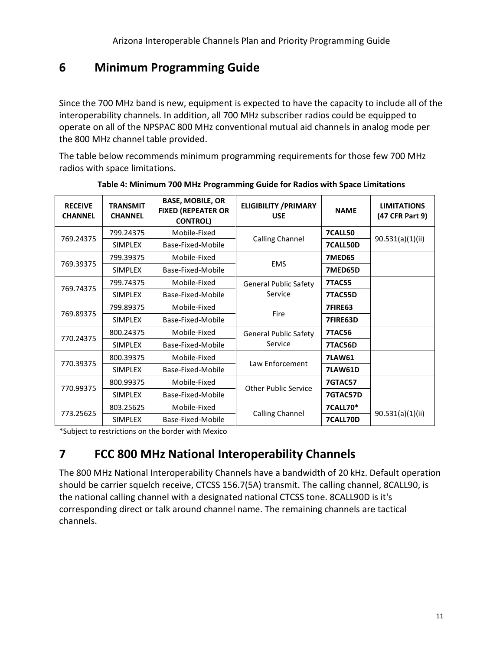# <span id="page-14-0"></span>**6 Minimum Programming Guide**

Since the 700 MHz band is new, equipment is expected to have the capacity to include all of the interoperability channels. In addition, all 700 MHz subscriber radios could be equipped to operate on all of the NPSPAC 800 MHz conventional mutual aid channels in analog mode per the 800 MHz channel table provided.

The table below recommends minimum programming requirements for those few 700 MHz radios with space limitations.

<span id="page-14-2"></span>

| <b>RECEIVE</b><br><b>CHANNEL</b> | <b>TRANSMIT</b><br><b>CHANNEL</b> | <b>BASE, MOBILE, OR</b><br><b>FIXED (REPEATER OR</b><br><b>CONTROL)</b> | <b>ELIGIBILITY / PRIMARY</b><br><b>USE</b> | <b>NAME</b>    | <b>LIMITATIONS</b><br>(47 CFR Part 9) |
|----------------------------------|-----------------------------------|-------------------------------------------------------------------------|--------------------------------------------|----------------|---------------------------------------|
| 769.24375                        | 799.24375                         | Mobile-Fixed                                                            |                                            | <b>7CALL50</b> |                                       |
|                                  | <b>SIMPLEX</b>                    | Base-Fixed-Mobile                                                       | Calling Channel                            | 7CALL50D       | 90.531(a)(1)(ii)                      |
|                                  | 799.39375                         | Mobile-Fixed                                                            |                                            | 7MED65         |                                       |
| 769.39375                        | <b>SIMPLEX</b>                    | Base-Fixed-Mobile                                                       | <b>EMS</b>                                 | 7MED65D        |                                       |
|                                  | 799.74375                         | Mobile-Fixed                                                            | <b>General Public Safety</b>               | <b>7TAC55</b>  |                                       |
| 769.74375                        | <b>SIMPLEX</b>                    | Service<br>Base-Fixed-Mobile                                            |                                            | 7TAC55D        |                                       |
|                                  | 799.89375                         | Mobile-Fixed                                                            | Fire                                       | <b>7FIRE63</b> |                                       |
| 769.89375                        | <b>SIMPLEX</b>                    | Base-Fixed-Mobile                                                       |                                            | 7FIRE63D       |                                       |
| 770.24375                        | 800.24375                         | Mobile-Fixed                                                            | <b>General Public Safety</b>               | <b>7TAC56</b>  |                                       |
|                                  | <b>SIMPLEX</b>                    | Base-Fixed-Mobile                                                       | Service                                    | 7TAC56D        |                                       |
|                                  | 800.39375                         | Mobile-Fixed                                                            |                                            | <b>7LAW61</b>  |                                       |
| 770.39375                        | <b>SIMPLEX</b>                    | Base-Fixed-Mobile                                                       | Law Enforcement                            | <b>7LAW61D</b> |                                       |
|                                  | 800.99375                         | Mobile-Fixed                                                            |                                            | 7GTAC57        |                                       |
| 770.99375                        | <b>SIMPLEX</b>                    | Base-Fixed-Mobile                                                       | <b>Other Public Service</b>                | 7GTAC57D       |                                       |
|                                  | 803.25625                         | Mobile-Fixed                                                            |                                            | 7CALL70*       |                                       |
| 773.25625                        | <b>SIMPLEX</b>                    | Base-Fixed-Mobile                                                       | Calling Channel                            | 7CALL70D       | 90.531(a)(1)(ii)                      |

**Table 4: Minimum 700 MHz Programming Guide for Radios with Space Limitations**

\*Subject to restrictions on the border with Mexico

# <span id="page-14-1"></span>**7 FCC 800 MHz National Interoperability Channels**

<span id="page-14-3"></span>The 800 MHz National Interoperability Channels have a bandwidth of 20 kHz. Default operation should be carrier squelch receive, CTCSS 156.7(5A) transmit. The calling channel, 8CALL90, is the national calling channel with a designated national CTCSS tone. 8CALL90D is it's corresponding direct or talk around channel name. The remaining channels are tactical channels.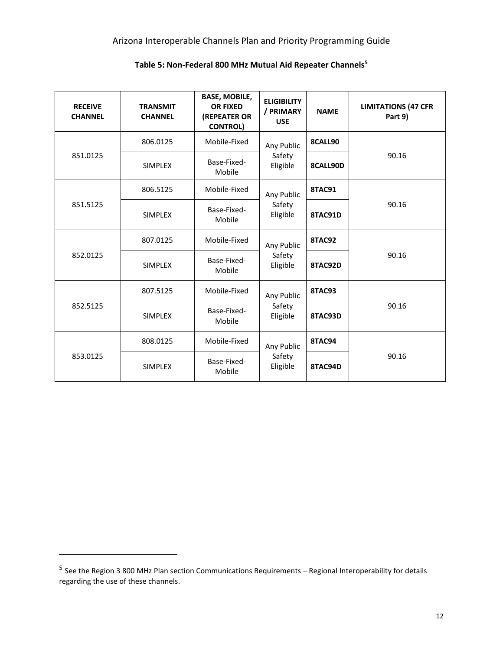#### Arizona Interoperable Channels Plan and Priority Programming Guide

| <b>RECEIVE</b><br><b>CHANNEL</b> | <b>TRANSMIT</b><br><b>CHANNEL</b> | <b>BASE, MOBILE,</b><br><b>OR FIXED</b><br>(REPEATER OR<br><b>CONTROL)</b> | <b>ELIGIBILITY</b><br>/ PRIMARY<br><b>USE</b> | <b>NAME</b>   | <b>LIMITATIONS (47 CFR</b><br>Part 9) |
|----------------------------------|-----------------------------------|----------------------------------------------------------------------------|-----------------------------------------------|---------------|---------------------------------------|
|                                  | 806.0125                          | Mobile-Fixed                                                               | Any Public                                    | 8CALL90       |                                       |
| 851.0125                         | <b>SIMPLEX</b>                    | Base-Fixed-<br>Mobile                                                      | Safety<br>Eligible                            | 8CALL90D      | 90.16                                 |
|                                  | 806.5125                          | Mobile-Fixed                                                               | Any Public                                    | <b>8TAC91</b> |                                       |
| 851.5125                         | <b>SIMPLEX</b>                    | Base-Fixed-<br>Mobile                                                      | Safety<br>Eligible                            | 8TAC91D       | 90.16                                 |
|                                  | 807.0125                          | Mobile-Fixed<br>Any Public                                                 |                                               | <b>8TAC92</b> |                                       |
| 852.0125                         | <b>SIMPLEX</b>                    | Base-Fixed-<br>Mobile                                                      | Safety<br>Eligible                            | 8TAC92D       | 90.16                                 |
|                                  | 807.5125                          | Mobile-Fixed                                                               | Any Public                                    | <b>8TAC93</b> |                                       |
| 852.5125                         | <b>SIMPLEX</b>                    | Base-Fixed-<br>Mobile                                                      | Safety<br>Eligible                            | 8TAC93D       | 90.16                                 |
|                                  | 808.0125                          | Mobile-Fixed                                                               | Any Public                                    | <b>8TAC94</b> |                                       |
| 853.0125                         | <b>SIMPLEX</b>                    | Base-Fixed-<br>Mobile                                                      | Safety<br>Eligible                            |               | 90.16                                 |

#### **Table 5: Non-Federal 800 MHz Mutual Aid Repeater Channels<sup>5</sup>**

<sup>&</sup>lt;sup>5</sup> See the Region 3 800 MHz Plan section Communications Requirements – Regional Interoperability for details regarding the use of these channels.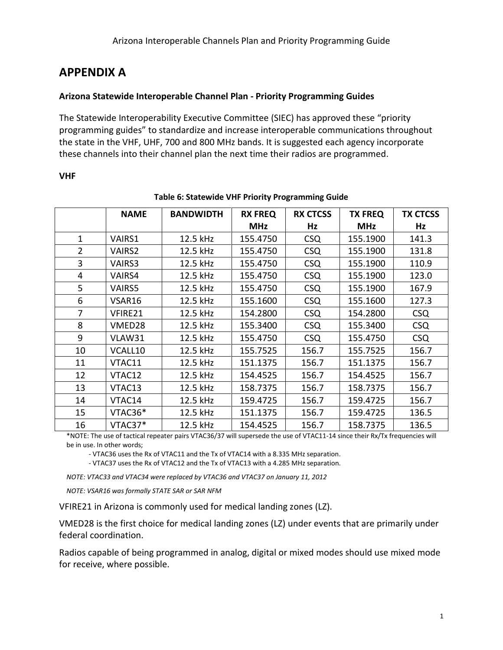## <span id="page-16-0"></span>**APPENDIX A**

#### <span id="page-16-1"></span>**Arizona Statewide Interoperable Channel Plan - Priority Programming Guides**

The Statewide Interoperability Executive Committee (SIEC) has approved these "priority programming guides" to standardize and increase interoperable communications throughout the state in the VHF, UHF, 700 and 800 MHz bands. It is suggested each agency incorporate these channels into their channel plan the next time their radios are programmed.

#### <span id="page-16-2"></span>**VHF**

<span id="page-16-3"></span>

|                | <b>NAME</b>   | <b>BANDWIDTH</b> | <b>RX FREQ</b> | <b>RX CTCSS</b> | <b>TX FREQ</b> | <b>TX CTCSS</b> |
|----------------|---------------|------------------|----------------|-----------------|----------------|-----------------|
|                |               |                  | <b>MHz</b>     | Hz              | <b>MHz</b>     | Hz              |
|                |               |                  |                |                 |                |                 |
| $\mathbf{1}$   | VAIRS1        | 12.5 kHz         | 155.4750       | <b>CSQ</b>      | 155.1900       | 141.3           |
| $\overline{2}$ | <b>VAIRS2</b> | 12.5 kHz         | 155.4750       | <b>CSQ</b>      | 155.1900       | 131.8           |
| 3              | <b>VAIRS3</b> | 12.5 kHz         | 155.4750       | <b>CSQ</b>      | 155.1900       | 110.9           |
| 4              | VAIRS4        | 12.5 kHz         | 155.4750       | <b>CSQ</b>      | 155.1900       | 123.0           |
| 5              | <b>VAIRS5</b> | 12.5 kHz         | 155.4750       | <b>CSQ</b>      | 155.1900       | 167.9           |
| 6              | VSAR16        | 12.5 kHz         | 155.1600       | <b>CSQ</b>      | 155.1600       | 127.3           |
| $\overline{7}$ | VFIRE21       | 12.5 kHz         | 154.2800       | <b>CSQ</b>      | 154.2800       | <b>CSQ</b>      |
| 8              | VMED28        | 12.5 kHz         | 155.3400       | <b>CSQ</b>      | 155.3400       | <b>CSQ</b>      |
| 9              | VLAW31        | 12.5 kHz         | 155.4750       | <b>CSQ</b>      | 155.4750       | <b>CSQ</b>      |
| 10             | VCALL10       | 12.5 kHz         | 155.7525       | 156.7           | 155.7525       | 156.7           |
| 11             | VTAC11        | 12.5 kHz         | 151.1375       | 156.7           | 151.1375       | 156.7           |
| 12             | VTAC12        | 12.5 kHz         | 154.4525       | 156.7           | 154.4525       | 156.7           |
| 13             | VTAC13        | 12.5 kHz         | 158.7375       | 156.7           | 158.7375       | 156.7           |
| 14             | VTAC14        | 12.5 kHz         | 159.4725       | 156.7           | 159.4725       | 156.7           |
| 15             | VTAC36*       | 12.5 kHz         | 151.1375       | 156.7           | 159.4725       | 136.5           |
| 16             | VTAC37*       | 12.5 kHz         | 154.4525       | 156.7           | 158.7375       | 136.5           |

#### **Table 6: Statewide VHF Priority Programming Guide**

\*NOTE: The use of tactical repeater pairs VTAC36/37 will supersede the use of VTAC11-14 since their Rx/Tx frequencies will be in use. In other words;

- VTAC36 uses the Rx of VTAC11 and the Tx of VTAC14 with a 8.335 MHz separation.

- VTAC37 uses the Rx of VTAC12 and the Tx of VTAC13 with a 4.285 MHz separation.

*NOTE: VTAC33 and VTAC34 were replaced by VTAC36 and VTAC37 on January 11, 2012*

*NOTE: VSAR16 was formally STATE SAR or SAR NFM*

VFIRE21 in Arizona is commonly used for medical landing zones (LZ).

VMED28 is the first choice for medical landing zones (LZ) under events that are primarily under federal coordination.

Radios capable of being programmed in analog, digital or mixed modes should use mixed mode for receive, where possible.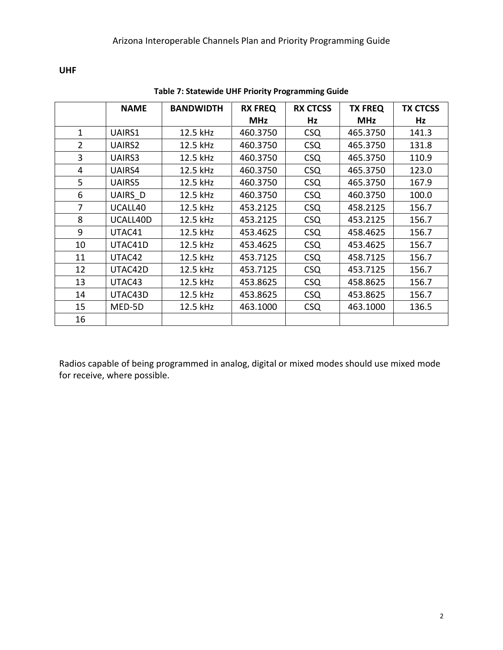<span id="page-17-0"></span>**UHF**

<span id="page-17-1"></span>

|                | <b>NAME</b> | <b>BANDWIDTH</b> | <b>RX FREQ</b> | <b>RX CTCSS</b> | <b>TX FREQ</b> | <b>TX CTCSS</b> |
|----------------|-------------|------------------|----------------|-----------------|----------------|-----------------|
|                |             |                  | <b>MHz</b>     | Hz              | <b>MHz</b>     | Hz              |
| 1              | UAIRS1      | 12.5 kHz         | 460.3750       | <b>CSQ</b>      | 465.3750       | 141.3           |
| $\overline{2}$ | UAIRS2      | 12.5 kHz         | 460.3750       | <b>CSQ</b>      | 465.3750       | 131.8           |
| 3              | UAIRS3      | 12.5 kHz         | 460.3750       | <b>CSQ</b>      | 465.3750       | 110.9           |
| 4              | UAIRS4      | 12.5 kHz         | 460.3750       | <b>CSQ</b>      | 465.3750       | 123.0           |
| 5              | UAIRS5      | 12.5 kHz         | 460.3750       | <b>CSQ</b>      | 465.3750       | 167.9           |
| 6              | UAIRS_D     | 12.5 kHz         | 460.3750       | <b>CSQ</b>      | 460.3750       | 100.0           |
| 7              | UCALL40     | 12.5 kHz         | 453.2125       | <b>CSQ</b>      | 458.2125       | 156.7           |
| 8              | UCALL40D    | 12.5 kHz         | 453.2125       | <b>CSQ</b>      | 453.2125       | 156.7           |
| 9              | UTAC41      | 12.5 kHz         | 453.4625       | <b>CSQ</b>      | 458.4625       | 156.7           |
| 10             | UTAC41D     | 12.5 kHz         | 453.4625       | <b>CSQ</b>      | 453.4625       | 156.7           |
| 11             | UTAC42      | 12.5 kHz         | 453.7125       | <b>CSQ</b>      | 458.7125       | 156.7           |
| 12             | UTAC42D     | 12.5 kHz         | 453.7125       | <b>CSQ</b>      | 453.7125       | 156.7           |
| 13             | UTAC43      | 12.5 kHz         | 453.8625       | <b>CSQ</b>      | 458.8625       | 156.7           |
| 14             | UTAC43D     | 12.5 kHz         | 453.8625       | <b>CSQ</b>      | 453.8625       | 156.7           |
| 15             | MED-5D      | 12.5 kHz         | 463.1000       | <b>CSQ</b>      | 463.1000       | 136.5           |
| 16             |             |                  |                |                 |                |                 |

**Table 7: Statewide UHF Priority Programming Guide**

Radios capable of being programmed in analog, digital or mixed modes should use mixed mode for receive, where possible.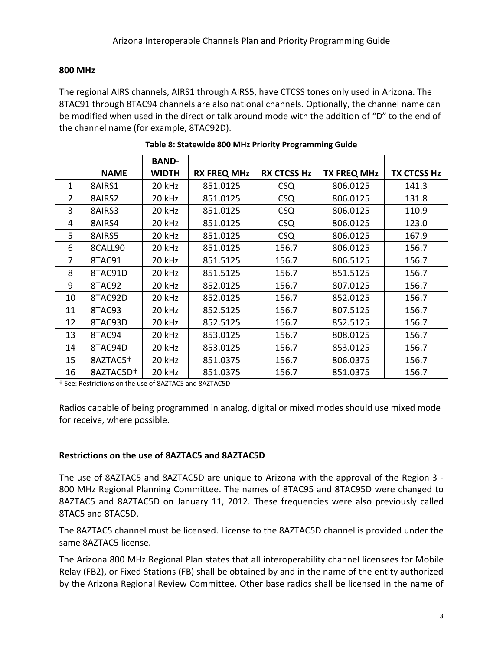#### <span id="page-18-0"></span>**800 MHz**

The regional AIRS channels, AIRS1 through AIRS5, have CTCSS tones only used in Arizona. The 8TAC91 through 8TAC94 channels are also national channels. Optionally, the channel name can be modified when used in the direct or talk around mode with the addition of "D" to the end of the channel name (for example, 8TAC92D).

<span id="page-18-2"></span>

|                |                       | <b>BAND-</b> |                    |                    |                    |                    |
|----------------|-----------------------|--------------|--------------------|--------------------|--------------------|--------------------|
|                | <b>NAME</b>           | <b>WIDTH</b> | <b>RX FREQ MHz</b> | <b>RX CTCSS Hz</b> | <b>TX FREQ MHz</b> | <b>TX CTCSS Hz</b> |
| 1              | 8AIRS1                | 20 kHz       | 851.0125           | <b>CSQ</b>         | 806.0125           | 141.3              |
| $\overline{2}$ | 8AIRS2                | 20 kHz       | 851.0125           | <b>CSQ</b>         | 806.0125           | 131.8              |
| 3              | 8AIRS3                | 20 kHz       | 851.0125           | <b>CSQ</b>         | 806.0125           | 110.9              |
| 4              | 8AIRS4                | 20 kHz       | 851.0125           | <b>CSQ</b>         | 806.0125           | 123.0              |
| 5              | 8AIRS5                | 20 kHz       | 851.0125           | <b>CSQ</b>         | 806.0125           | 167.9              |
| 6              | 8CALL90               | 20 kHz       | 851.0125           | 156.7              | 806.0125           | 156.7              |
| 7              | 8TAC91                | 20 kHz       | 851.5125           | 156.7              | 806.5125           | 156.7              |
| 8              | 8TAC91D               | 20 kHz       | 851.5125           | 156.7              | 851.5125           | 156.7              |
| 9              | 8TAC92                | 20 kHz       | 852.0125           | 156.7              | 807.0125           | 156.7              |
| 10             | 8TAC92D               | 20 kHz       | 852.0125           | 156.7              | 852.0125           | 156.7              |
| 11             | 8TAC93                | 20 kHz       | 852.5125           | 156.7              | 807.5125           | 156.7              |
| 12             | 8TAC93D               | 20 kHz       | 852.5125           | 156.7              | 852.5125           | 156.7              |
| 13             | 8TAC94                | 20 kHz       | 853.0125           | 156.7              | 808.0125           | 156.7              |
| 14             | 8TAC94D               | 20 kHz       | 853.0125           | 156.7              | 853.0125           | 156.7              |
| 15             | 8AZTAC5+              | 20 kHz       | 851.0375           | 156.7              | 806.0375           | 156.7              |
| 16             | 8AZTAC5D <sup>+</sup> | 20 kHz       | 851.0375           | 156.7              | 851.0375           | 156.7              |

† See: Restrictions on the use of 8AZTAC5 and 8AZTAC5D

Radios capable of being programmed in analog, digital or mixed modes should use mixed mode for receive, where possible.

#### <span id="page-18-1"></span>**Restrictions on the use of 8AZTAC5 and 8AZTAC5D**

The use of 8AZTAC5 and 8AZTAC5D are unique to Arizona with the approval of the Region 3 - 800 MHz Regional Planning Committee. The names of 8TAC95 and 8TAC95D were changed to 8AZTAC5 and 8AZTAC5D on January 11, 2012. These frequencies were also previously called 8TAC5 and 8TAC5D.

The 8AZTAC5 channel must be licensed. License to the 8AZTAC5D channel is provided under the same 8AZTAC5 license.

The Arizona 800 MHz Regional Plan states that all interoperability channel licensees for Mobile Relay (FB2), or Fixed Stations (FB) shall be obtained by and in the name of the entity authorized by the Arizona Regional Review Committee. Other base radios shall be licensed in the name of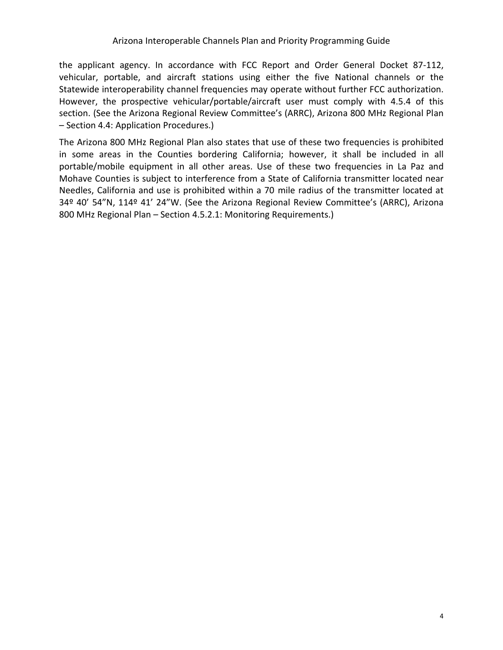the applicant agency. In accordance with FCC Report and Order General Docket 87-112, vehicular, portable, and aircraft stations using either the five National channels or the Statewide interoperability channel frequencies may operate without further FCC authorization. However, the prospective vehicular/portable/aircraft user must comply with 4.5.4 of this section. (See the Arizona Regional Review Committee's (ARRC), Arizona 800 MHz Regional Plan – Section 4.4: Application Procedures.)

The Arizona 800 MHz Regional Plan also states that use of these two frequencies is prohibited in some areas in the Counties bordering California; however, it shall be included in all portable/mobile equipment in all other areas. Use of these two frequencies in La Paz and Mohave Counties is subject to interference from a State of California transmitter located near Needles, California and use is prohibited within a 70 mile radius of the transmitter located at 34º 40' 54"N, 114º 41' 24"W. (See the Arizona Regional Review Committee's (ARRC), Arizona 800 MHz Regional Plan – Section 4.5.2.1: Monitoring Requirements.)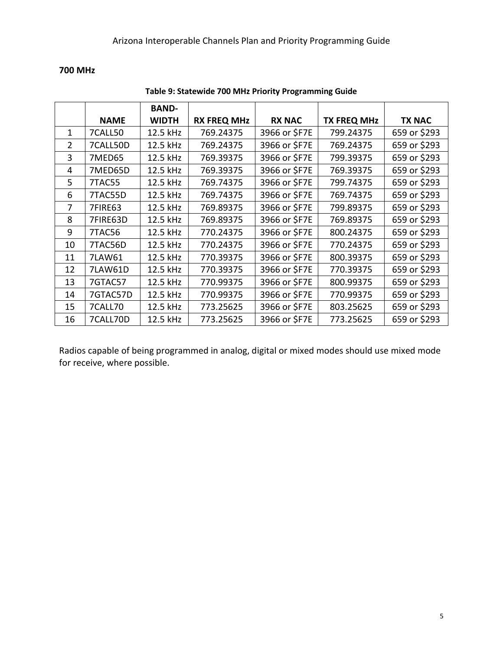#### <span id="page-20-0"></span>**700 MHz**

<span id="page-20-1"></span>

|    |             | <b>BAND-</b> |                    |               |                    |               |
|----|-------------|--------------|--------------------|---------------|--------------------|---------------|
|    | <b>NAME</b> | <b>WIDTH</b> | <b>RX FREQ MHz</b> | <b>RX NAC</b> | <b>TX FREQ MHz</b> | <b>TX NAC</b> |
| 1  | 7CALL50     | 12.5 kHz     | 769.24375          | 3966 or \$F7E | 799.24375          | 659 or \$293  |
| 2  | 7CALL50D    | 12.5 kHz     | 769.24375          | 3966 or \$F7E | 769.24375          | 659 or \$293  |
| 3  | 7MED65      | 12.5 kHz     | 769.39375          | 3966 or \$F7E | 799.39375          | 659 or \$293  |
| 4  | 7MED65D     | 12.5 kHz     | 769.39375          | 3966 or \$F7E | 769.39375          | 659 or \$293  |
| 5  | 7TAC55      | 12.5 kHz     | 769.74375          | 3966 or \$F7E | 799.74375          | 659 or \$293  |
| 6  | 7TAC55D     | 12.5 kHz     | 769.74375          | 3966 or \$F7E | 769.74375          | 659 or \$293  |
| 7  | 7FIRE63     | 12.5 kHz     | 769.89375          | 3966 or \$F7E | 799.89375          | 659 or \$293  |
| 8  | 7FIRE63D    | 12.5 kHz     | 769.89375          | 3966 or \$F7E | 769.89375          | 659 or \$293  |
| 9  | 7TAC56      | 12.5 kHz     | 770.24375          | 3966 or \$F7E | 800.24375          | 659 or \$293  |
| 10 | 7TAC56D     | 12.5 kHz     | 770.24375          | 3966 or \$F7E | 770.24375          | 659 or \$293  |
| 11 | 7LAW61      | 12.5 kHz     | 770.39375          | 3966 or \$F7E | 800.39375          | 659 or \$293  |
| 12 | 7LAW61D     | 12.5 kHz     | 770.39375          | 3966 or \$F7E | 770.39375          | 659 or \$293  |
| 13 | 7GTAC57     | 12.5 kHz     | 770.99375          | 3966 or \$F7E | 800.99375          | 659 or \$293  |
| 14 | 7GTAC57D    | 12.5 kHz     | 770.99375          | 3966 or \$F7E | 770.99375          | 659 or \$293  |
| 15 | 7CALL70     | 12.5 kHz     | 773.25625          | 3966 or \$F7E | 803.25625          | 659 or \$293  |
| 16 | 7CALL70D    | 12.5 kHz     | 773.25625          | 3966 or \$F7E | 773.25625          | 659 or \$293  |

#### **Table 9: Statewide 700 MHz Priority Programming Guide**

Radios capable of being programmed in analog, digital or mixed modes should use mixed mode for receive, where possible.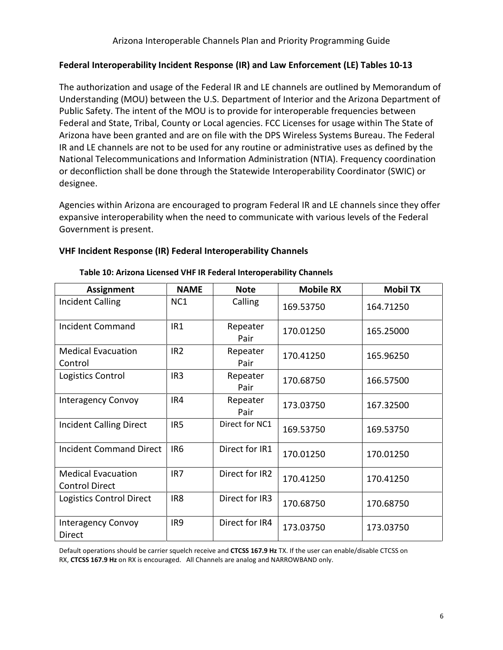#### **Federal Interoperability Incident Response (IR) and Law Enforcement (LE) Tables 10-13**

The authorization and usage of the Federal IR and LE channels are outlined by Memorandum of Understanding (MOU) between the U.S. Department of Interior and the Arizona Department of Public Safety. The intent of the MOU is to provide for interoperable frequencies between Federal and State, Tribal, County or Local agencies. FCC Licenses for usage within The State of Arizona have been granted and are on file with the DPS Wireless Systems Bureau. The Federal IR and LE channels are not to be used for any routine or administrative uses as defined by the National Telecommunications and Information Administration (NTIA). Frequency coordination or deconfliction shall be done through the Statewide Interoperability Coordinator (SWIC) or designee.

Agencies within Arizona are encouraged to program Federal IR and LE channels since they offer expansive interoperability when the need to communicate with various levels of the Federal Government is present.

#### **VHF Incident Response (IR) Federal Interoperability Channels**

| <b>Assignment</b>                                  | <b>NAME</b>     | <b>Note</b>      | <b>Mobile RX</b> | <b>Mobil TX</b> |
|----------------------------------------------------|-----------------|------------------|------------------|-----------------|
| <b>Incident Calling</b>                            | NC1             | Calling          | 169.53750        | 164.71250       |
| <b>Incident Command</b>                            | IR <sub>1</sub> | Repeater<br>Pair | 170.01250        | 165.25000       |
| <b>Medical Evacuation</b><br>Control               | IR <sub>2</sub> | Repeater<br>Pair | 170.41250        | 165.96250       |
| Logistics Control                                  | IR <sub>3</sub> | Repeater<br>Pair | 170.68750        | 166.57500       |
| <b>Interagency Convoy</b>                          | IR4             | Repeater<br>Pair | 173.03750        | 167.32500       |
| <b>Incident Calling Direct</b>                     | IR <sub>5</sub> | Direct for NC1   | 169.53750        | 169.53750       |
| <b>Incident Command Direct</b>                     | IR <sub>6</sub> | Direct for IR1   | 170.01250        | 170.01250       |
| <b>Medical Evacuation</b><br><b>Control Direct</b> | IR <sub>7</sub> | Direct for IR2   | 170.41250        | 170.41250       |
| Logistics Control Direct                           | IR <sub>8</sub> | Direct for IR3   | 170.68750        | 170.68750       |
| <b>Interagency Convoy</b><br>Direct                | IR9             | Direct for IR4   | 173.03750        | 173.03750       |

#### **Table 10: Arizona Licensed VHF IR Federal Interoperability Channels**

Default operations should be carrier squelch receive and **CTCSS 167.9 Hz** TX. If the user can enable/disable CTCSS on RX, **CTCSS 167.9 Hz** on RX is encouraged. All Channels are analog and NARROWBAND only.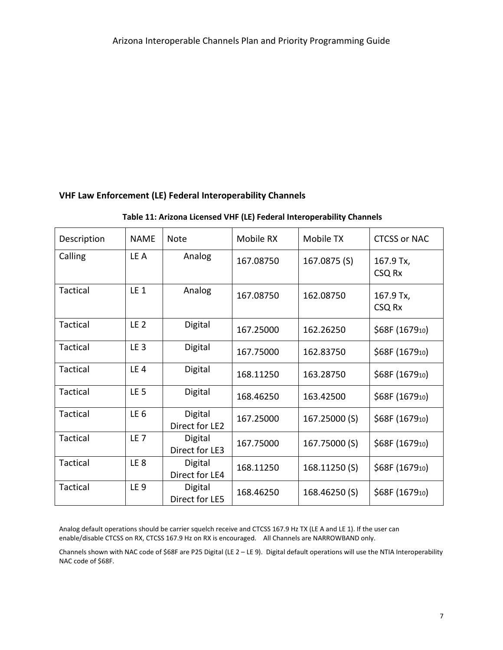#### **VHF Law Enforcement (LE) Federal Interoperability Channels**

#### **Table 11: Arizona Licensed VHF (LE) Federal Interoperability Channels**

| Description | <b>NAME</b>     | Note                      | Mobile RX | Mobile TX     | <b>CTCSS or NAC</b> |
|-------------|-----------------|---------------------------|-----------|---------------|---------------------|
| Calling     | LE A            | Analog                    | 167.08750 | 167.0875 (S)  | 167.9 Tx,<br>CSQ Rx |
| Tactical    | $LE_1$          | Analog                    | 167.08750 | 162.08750     | 167.9 Tx,<br>CSQ Rx |
| Tactical    | LE <sub>2</sub> | Digital                   | 167.25000 | 162.26250     | \$68F (167910)      |
| Tactical    | LE <sub>3</sub> | Digital                   | 167.75000 | 162.83750     | \$68F (167910)      |
| Tactical    | LE <sub>4</sub> | Digital                   | 168.11250 | 163.28750     | \$68F (167910)      |
| Tactical    | LE <sub>5</sub> | Digital                   | 168.46250 | 163.42500     | \$68F (167910)      |
| Tactical    | LE <sub>6</sub> | Digital<br>Direct for LE2 | 167.25000 | 167.25000 (S) | \$68F (167910)      |
| Tactical    | LE <sub>7</sub> | Digital<br>Direct for LE3 | 167.75000 | 167.75000 (S) | \$68F (167910)      |
| Tactical    | LE <sub>8</sub> | Digital<br>Direct for LE4 | 168.11250 | 168.11250(S)  | \$68F (167910)      |
| Tactical    | LE <sub>9</sub> | Digital<br>Direct for LE5 | 168.46250 | 168.46250 (S) | \$68F (167910)      |

Analog default operations should be carrier squelch receive and CTCSS 167.9 Hz TX (LE A and LE 1). If the user can enable/disable CTCSS on RX, CTCSS 167.9 Hz on RX is encouraged. All Channels are NARROWBAND only.

Channels shown with NAC code of \$68F are P25 Digital (LE 2 – LE 9). Digital default operations will use the NTIA Interoperability NAC code of \$68F.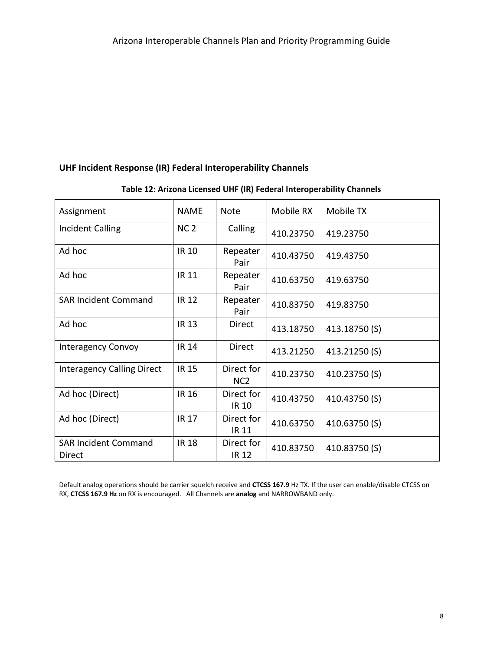#### **UHF Incident Response (IR) Federal Interoperability Channels**

| Assignment                            | <b>NAME</b>     | <b>Note</b>                   | Mobile RX | Mobile TX     |
|---------------------------------------|-----------------|-------------------------------|-----------|---------------|
| <b>Incident Calling</b>               | NC <sub>2</sub> | Calling                       | 410.23750 | 419.23750     |
| Ad hoc                                | IR 10           | Repeater<br>Pair              | 410.43750 | 419.43750     |
| Ad hoc                                | IR 11           | Repeater<br>Pair              | 410.63750 | 419.63750     |
| <b>SAR Incident Command</b>           | <b>IR 12</b>    | Repeater<br>Pair              | 410.83750 | 419.83750     |
| Ad hoc                                | <b>IR 13</b>    | Direct                        | 413.18750 | 413.18750 (S) |
| <b>Interagency Convoy</b>             | <b>IR 14</b>    | Direct                        | 413.21250 | 413.21250 (S) |
| <b>Interagency Calling Direct</b>     | <b>IR 15</b>    | Direct for<br>NC <sub>2</sub> | 410.23750 | 410.23750 (S) |
| Ad hoc (Direct)                       | <b>IR 16</b>    | Direct for<br>IR 10           | 410.43750 | 410.43750 (S) |
| Ad hoc (Direct)                       | <b>IR 17</b>    | Direct for<br><b>IR 11</b>    | 410.63750 | 410.63750 (S) |
| <b>SAR Incident Command</b><br>Direct | <b>IR 18</b>    | Direct for<br><b>IR 12</b>    | 410.83750 | 410.83750 (S) |

#### **Table 12: Arizona Licensed UHF (IR) Federal Interoperability Channels**

Default analog operations should be carrier squelch receive and **CTCSS 167.9** Hz TX. If the user can enable/disable CTCSS on RX, **CTCSS 167.9 Hz** on RX is encouraged. All Channels are **analog** and NARROWBAND only.